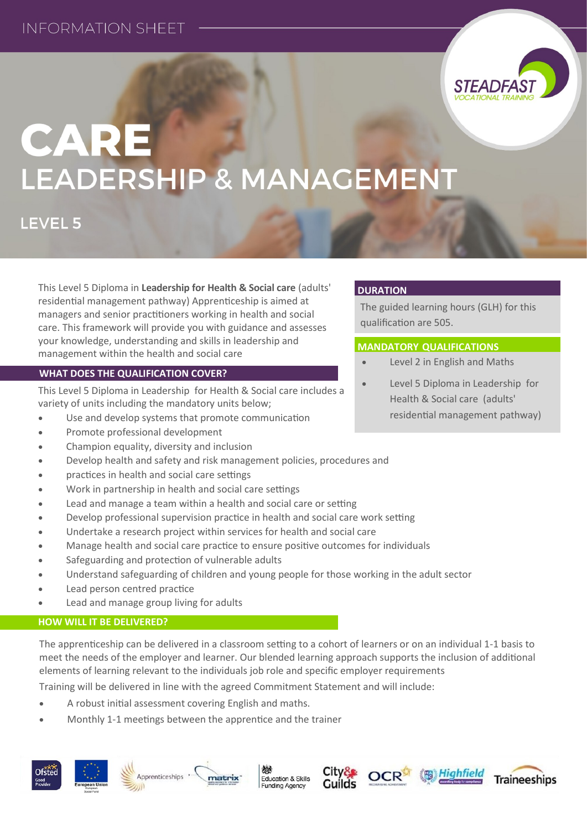

# CARE LEADERSHIP & MANAGEMENT

**LEVEL 5** 

This Level 5 Diploma in **Leadership for Health & Social care** (adults' residential management pathway) Apprenticeship is aimed at managers and senior practitioners working in health and social care. This framework will provide you with guidance and assesses your knowledge, understanding and skills in leadership and management within the health and social care

#### **WHAT DOES THE QUALIFICATION COVER?**

This Level 5 Diploma in Leadership for Health & Social care includes a variety of units including the mandatory units below;

- Use and develop systems that promote communication
- Promote professional development
- Champion equality, diversity and inclusion
- Develop health and safety and risk management policies, procedures and
- practices in health and social care settings
- Work in partnership in health and social care settings
- Lead and manage a team within a health and social care or setting
- Develop professional supervision practice in health and social care work setting
- Undertake a research project within services for health and social care
- Manage health and social care practice to ensure positive outcomes for individuals
- Safeguarding and protection of vulnerable adults
- Understand safeguarding of children and young people for those working in the adult sector
- Lead person centred practice
- Lead and manage group living for adults

### **HOW WILL IT BE DELIVERED?**

The apprenticeship can be delivered in a classroom setting to a cohort of learners or on an individual 1-1 basis to meet the needs of the employer and learner. Our blended learning approach supports the inclusion of additional elements of learning relevant to the individuals job role and specific employer requirements

Training will be delivered in line with the agreed Commitment Statement and will include:

matrix

- A robust initial assessment covering English and maths.
- Monthly 1-1 meetings between the apprentice and the trainer













### **DURATION**

The guided learning hours (GLH) for this qualification are 505.

#### **MANDATORY QUALIFICATIONS**

- Level 2 in English and Maths
- Level 5 Diploma in Leadership for Health & Social care (adults' residential management pathway)